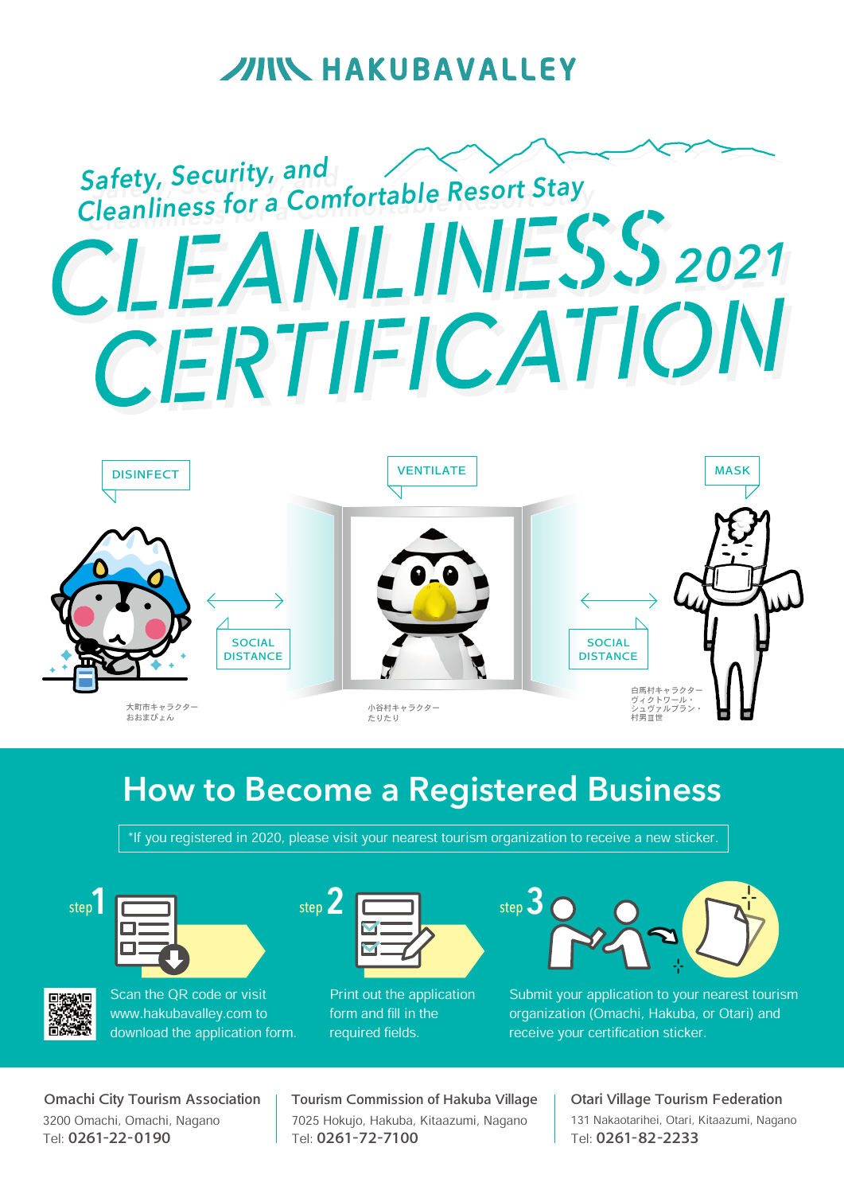## **JIIN HAKUBAVALLEY**

# **Safety, Security, an<sup>d</sup> Safety, Security, an<sup>d</sup> Cleanliness for a Comfortable Resort Stay Cleanliness for a Comfortable Resort Stay** *20202211* CERTIFICATION



## **How to Become a Registered Business**

\*If you registered in 2020, please visit your nearest tourism organization to receive a new sticker.







Scan the QR code or visit www.hakubavalley.com to

download the application form.



Print out the application form and fill in the required fields.



Submit your application to your nearest tourism organization (Omachi, Hakuba, or Otari) and receive your certification sticker.

3200 Omachi, Omachi, Nagano Tel: 0261-22-0190 Omachi City Tourism Association 7025 Hokujo, Hakuba, Kitaazumi, Nagano Tel: 0261-72-7100 Tourism Commission of Hakuba Village

131 Nakaotarihei, Otari, Kitaazumi, Nagano Tel: 0261-82-2233 Otari Village Tourism Federation